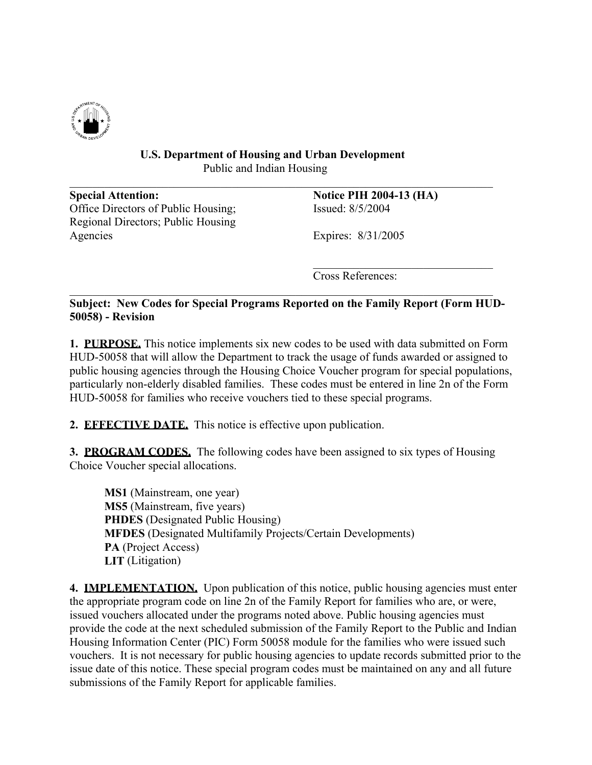

## **U.S. Department of Housing and Urban Development** Public and Indian Housing

 $\mathcal{L}_\mathcal{L} = \{ \mathcal{L}_\mathcal{L} = \{ \mathcal{L}_\mathcal{L} = \{ \mathcal{L}_\mathcal{L} = \{ \mathcal{L}_\mathcal{L} = \{ \mathcal{L}_\mathcal{L} = \{ \mathcal{L}_\mathcal{L} = \{ \mathcal{L}_\mathcal{L} = \{ \mathcal{L}_\mathcal{L} = \{ \mathcal{L}_\mathcal{L} = \{ \mathcal{L}_\mathcal{L} = \{ \mathcal{L}_\mathcal{L} = \{ \mathcal{L}_\mathcal{L} = \{ \mathcal{L}_\mathcal{L} = \{ \mathcal{L}_\mathcal{$ 

**Special Attention: Notice PIH 2004-13 (HA)**  Office Directors of Public Housing; Issued: 8/5/2004 Regional Directors; Public Housing Agencies Expires: 8/31/2005

Cross References:

**Subject: New Codes for Special Programs Reported on the Family Report (Form HUD-50058) - Revision** 

 $\mathcal{L}_\text{max}$  and  $\mathcal{L}_\text{max}$  and  $\mathcal{L}_\text{max}$  and  $\mathcal{L}_\text{max}$  and  $\mathcal{L}_\text{max}$ 

 $\mathcal{L}_\mathcal{L} = \{ \mathcal{L}_\mathcal{L} = \{ \mathcal{L}_\mathcal{L} = \{ \mathcal{L}_\mathcal{L} = \{ \mathcal{L}_\mathcal{L} = \{ \mathcal{L}_\mathcal{L} = \{ \mathcal{L}_\mathcal{L} = \{ \mathcal{L}_\mathcal{L} = \{ \mathcal{L}_\mathcal{L} = \{ \mathcal{L}_\mathcal{L} = \{ \mathcal{L}_\mathcal{L} = \{ \mathcal{L}_\mathcal{L} = \{ \mathcal{L}_\mathcal{L} = \{ \mathcal{L}_\mathcal{L} = \{ \mathcal{L}_\mathcal{$ 

**1. PURPOSE.** This notice implements six new codes to be used with data submitted on Form HUD-50058 that will allow the Department to track the usage of funds awarded or assigned to public housing agencies through the Housing Choice Voucher program for special populations, particularly non-elderly disabled families. These codes must be entered in line 2n of the Form HUD-50058 for families who receive vouchers tied to these special programs.

**2. EFFECTIVE DATE.** This notice is effective upon publication.

**3. PROGRAM CODES.** The following codes have been assigned to six types of Housing Choice Voucher special allocations.

**MS1** (Mainstream, one year) **MS5** (Mainstream, five years) **PHDES** (Designated Public Housing) **MFDES** (Designated Multifamily Projects/Certain Developments) **PA** (Project Access) **LIT** (Litigation)

**4. IMPLEMENTATION.** Upon publication of this notice, public housing agencies must enter the appropriate program code on line 2n of the Family Report for families who are, or were, issued vouchers allocated under the programs noted above. Public housing agencies must provide the code at the next scheduled submission of the Family Report to the Public and Indian Housing Information Center (PIC) Form 50058 module for the families who were issued such vouchers. It is not necessary for public housing agencies to update records submitted prior to the issue date of this notice. These special program codes must be maintained on any and all future submissions of the Family Report for applicable families.